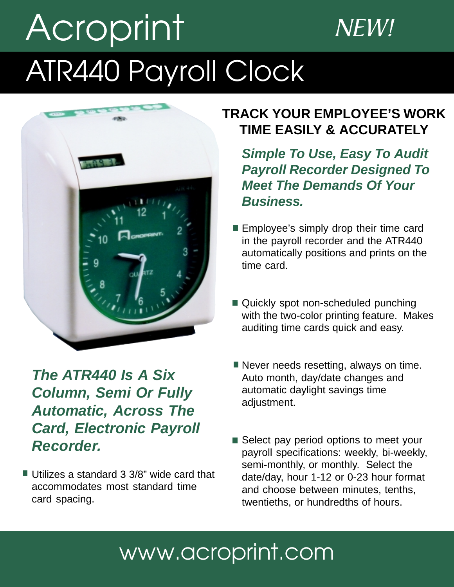# Acroprint NEW! ATR440 Payroll Clock



*The ATR440 Is A Six Column, Semi Or Fully Automatic, Across The Card, Electronic Payroll Recorder.*

■ Utilizes a standard 3 3/8" wide card that accommodates most standard time card spacing.

## **TRACK YOUR EMPLOYEE'S WORK TIME EASILY & ACCURATELY**

*Simple To Use, Easy To Audit Payroll Recorder Designed To Meet The Demands Of Your Business.*

- **Employee's simply drop their time card** in the payroll recorder and the ATR440 automatically positions and prints on the time card.
- Quickly spot non-scheduled punching with the two-color printing feature. Makes auditing time cards quick and easy.
- Never needs resetting, always on time. Auto month, day/date changes and automatic daylight savings time adjustment.
- Select pay period options to meet your payroll specifications: weekly, bi-weekly, semi-monthly, or monthly. Select the date/day, hour 1-12 or 0-23 hour format and choose between minutes, tenths, twentieths, or hundredths of hours.

# www.acroprint.com